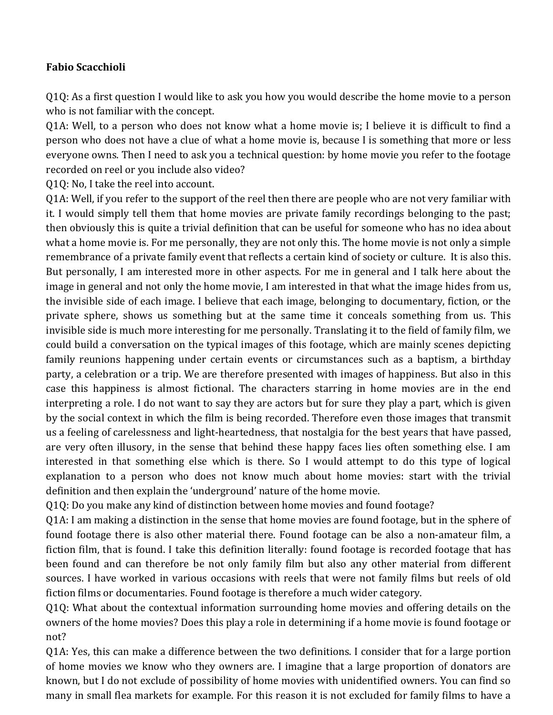## **Fabio Scacchioli**

 $Q1Q$ : As a first question I would like to ask you how you would describe the home movie to a person who is not familiar with the concept.

Q1A: Well, to a person who does not know what a home movie is; I believe it is difficult to find a person who does not have a clue of what a home movie is, because I is something that more or less everyone owns. Then I need to ask you a technical question: by home movie you refer to the footage recorded on reel or you include also video?

Q1Q: No, I take the reel into account.

Q1A: Well, if you refer to the support of the reel then there are people who are not very familiar with it. I would simply tell them that home movies are private family recordings belonging to the past; then obviously this is quite a trivial definition that can be useful for someone who has no idea about what a home movie is. For me personally, they are not only this. The home movie is not only a simple remembrance of a private family event that reflects a certain kind of society or culture. It is also this. But personally, I am interested more in other aspects. For me in general and I talk here about the image in general and not only the home movie, I am interested in that what the image hides from us, the invisible side of each image. I believe that each image, belonging to documentary, fiction, or the private sphere, shows us something but at the same time it conceals something from us. This invisible side is much more interesting for me personally. Translating it to the field of family film, we could build a conversation on the typical images of this footage, which are mainly scenes depicting family reunions happening under certain events or circumstances such as a baptism, a birthday party, a celebration or a trip. We are therefore presented with images of happiness. But also in this case this happiness is almost fictional. The characters starring in home movies are in the end interpreting a role. I do not want to say they are actors but for sure they play a part, which is given by the social context in which the film is being recorded. Therefore even those images that transmit us a feeling of carelessness and light-heartedness, that nostalgia for the best years that have passed, are very often illusory, in the sense that behind these happy faces lies often something else. I am interested in that something else which is there. So I would attempt to do this type of logical explanation to a person who does not know much about home movies: start with the trivial definition and then explain the 'underground' nature of the home movie.

Q1Q: Do you make any kind of distinction between home movies and found footage?

Q1A: I am making a distinction in the sense that home movies are found footage, but in the sphere of found footage there is also other material there. Found footage can be also a non-amateur film, a fiction film, that is found. I take this definition literally: found footage is recorded footage that has been found and can therefore be not only family film but also any other material from different sources. I have worked in various occasions with reels that were not family films but reels of old fiction films or documentaries. Found footage is therefore a much wider category.

Q1Q: What about the contextual information surrounding home movies and offering details on the owners of the home movies? Does this play a role in determining if a home movie is found footage or not?

Q1A: Yes, this can make a difference between the two definitions. I consider that for a large portion of home movies we know who they owners are. I imagine that a large proportion of donators are known, but I do not exclude of possibility of home movies with unidentified owners. You can find so many in small flea markets for example. For this reason it is not excluded for family films to have a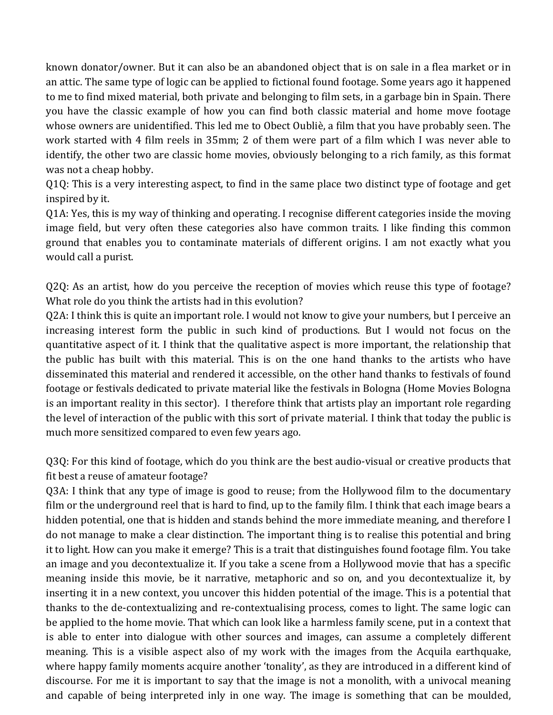known donator/owner. But it can also be an abandoned object that is on sale in a flea market or in an attic. The same type of logic can be applied to fictional found footage. Some years ago it happened to me to find mixed material, both private and belonging to film sets, in a garbage bin in Spain. There you have the classic example of how you can find both classic material and home move footage whose owners are unidentified. This led me to Obect Oubliè, a film that you have probably seen. The work started with 4 film reels in 35mm; 2 of them were part of a film which I was never able to identify, the other two are classic home movies, obviously belonging to a rich family, as this format was not a cheap hobby.

Q1Q: This is a very interesting aspect, to find in the same place two distinct type of footage and get inspired by it.

Q1A: Yes, this is my way of thinking and operating. I recognise different categories inside the moving image field, but very often these categories also have common traits. I like finding this common ground that enables you to contaminate materials of different origins. I am not exactly what you would call a purist.

Q2Q: As an artist, how do you perceive the reception of movies which reuse this type of footage? What role do you think the artists had in this evolution?

Q2A: I think this is quite an important role. I would not know to give your numbers, but I perceive an increasing interest form the public in such kind of productions. But I would not focus on the quantitative aspect of it. I think that the qualitative aspect is more important, the relationship that the public has built with this material. This is on the one hand thanks to the artists who have disseminated this material and rendered it accessible, on the other hand thanks to festivals of found footage or festivals dedicated to private material like the festivals in Bologna (Home Movies Bologna is an important reality in this sector). I therefore think that artists play an important role regarding the level of interaction of the public with this sort of private material. I think that today the public is much more sensitized compared to even few years ago.

Q3Q: For this kind of footage, which do you think are the best audio-visual or creative products that fit best a reuse of amateur footage?

Q3A: I think that any type of image is good to reuse; from the Hollywood film to the documentary film or the underground reel that is hard to find, up to the family film. I think that each image bears a hidden potential, one that is hidden and stands behind the more immediate meaning, and therefore I do not manage to make a clear distinction. The important thing is to realise this potential and bring it to light. How can you make it emerge? This is a trait that distinguishes found footage film. You take an image and you decontextualize it. If you take a scene from a Hollywood movie that has a specific meaning inside this movie, be it narrative, metaphoric and so on, and you decontextualize it, by inserting it in a new context, you uncover this hidden potential of the image. This is a potential that thanks to the de-contextualizing and re-contextualising process, comes to light. The same logic can be applied to the home movie. That which can look like a harmless family scene, put in a context that is able to enter into dialogue with other sources and images, can assume a completely different meaning. This is a visible aspect also of my work with the images from the Acquila earthquake, where happy family moments acquire another 'tonality', as they are introduced in a different kind of discourse. For me it is important to say that the image is not a monolith, with a univocal meaning and capable of being interpreted inly in one way. The image is something that can be moulded,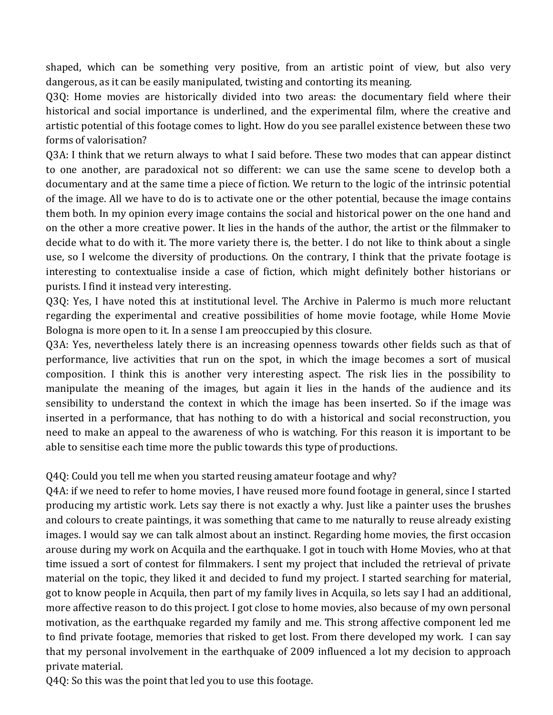shaped, which can be something very positive, from an artistic point of view, but also very dangerous, as it can be easily manipulated, twisting and contorting its meaning.

Q3Q: Home movies are historically divided into two areas: the documentary field where their historical and social importance is underlined, and the experimental film, where the creative and artistic potential of this footage comes to light. How do you see parallel existence between these two forms of valorisation?

Q3A: I think that we return always to what I said before. These two modes that can appear distinct to one another, are paradoxical not so different: we can use the same scene to develop both a documentary and at the same time a piece of fiction. We return to the logic of the intrinsic potential of the image. All we have to do is to activate one or the other potential, because the image contains them both. In my opinion every image contains the social and historical power on the one hand and on the other a more creative power. It lies in the hands of the author, the artist or the filmmaker to decide what to do with it. The more variety there is, the better. I do not like to think about a single use, so I welcome the diversity of productions. On the contrary, I think that the private footage is interesting to contextualise inside a case of fiction, which might definitely bother historians or purists. I find it instead very interesting.

Q3Q: Yes, I have noted this at institutional level. The Archive in Palermo is much more reluctant regarding the experimental and creative possibilities of home movie footage, while Home Movie Bologna is more open to it. In a sense I am preoccupied by this closure.

Q3A: Yes, nevertheless lately there is an increasing openness towards other fields such as that of performance, live activities that run on the spot, in which the image becomes a sort of musical composition. I think this is another very interesting aspect. The risk lies in the possibility to manipulate the meaning of the images, but again it lies in the hands of the audience and its sensibility to understand the context in which the image has been inserted. So if the image was inserted in a performance, that has nothing to do with a historical and social reconstruction, you need to make an appeal to the awareness of who is watching. For this reason it is important to be able to sensitise each time more the public towards this type of productions.

Q4Q: Could you tell me when you started reusing amateur footage and why?

Q4A: if we need to refer to home movies, I have reused more found footage in general, since I started producing my artistic work. Lets say there is not exactly a why. Just like a painter uses the brushes and colours to create paintings, it was something that came to me naturally to reuse already existing images. I would say we can talk almost about an instinct. Regarding home movies, the first occasion arouse during my work on Acquila and the earthquake. I got in touch with Home Movies, who at that time issued a sort of contest for filmmakers. I sent my project that included the retrieval of private material on the topic, they liked it and decided to fund my project. I started searching for material, got to know people in Acquila, then part of my family lives in Acquila, so lets say I had an additional, more affective reason to do this project. I got close to home movies, also because of my own personal motivation, as the earthquake regarded my family and me. This strong affective component led me to find private footage, memories that risked to get lost. From there developed my work. I can say that my personal involvement in the earthquake of 2009 influenced a lot my decision to approach private material.

Q4Q: So this was the point that led you to use this footage.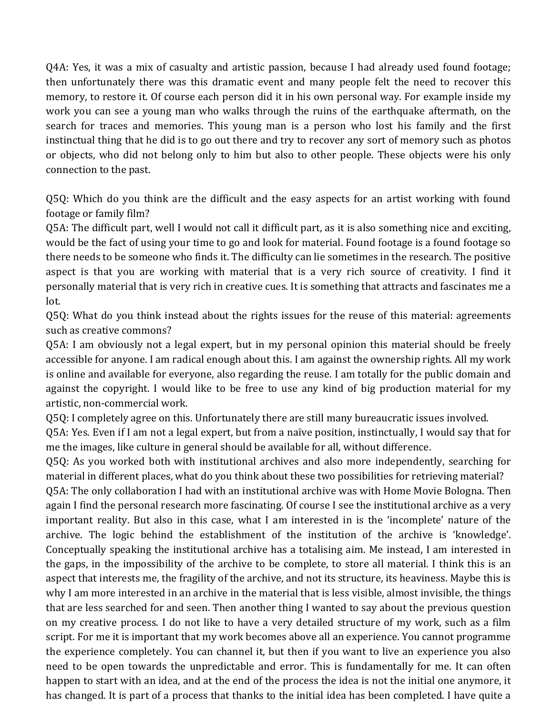Q4A: Yes, it was a mix of casualty and artistic passion, because I had already used found footage; then unfortunately there was this dramatic event and many people felt the need to recover this memory, to restore it. Of course each person did it in his own personal way. For example inside my work you can see a young man who walks through the ruins of the earthquake aftermath, on the search for traces and memories. This young man is a person who lost his family and the first instinctual thing that he did is to go out there and try to recover any sort of memory such as photos or objects, who did not belong only to him but also to other people. These objects were his only connection to the past.

Q5Q: Which do you think are the difficult and the easy aspects for an artist working with found footage or family film?

Q5A: The difficult part, well I would not call it difficult part, as it is also something nice and exciting, would be the fact of using your time to go and look for material. Found footage is a found footage so there needs to be someone who finds it. The difficulty can lie sometimes in the research. The positive aspect is that you are working with material that is a very rich source of creativity. I find it personally material that is very rich in creative cues. It is something that attracts and fascinates me a lot. 

Q5Q: What do you think instead about the rights issues for the reuse of this material: agreements such as creative commons?

Q5A: I am obviously not a legal expert, but in my personal opinion this material should be freely accessible for anyone. I am radical enough about this. I am against the ownership rights. All my work is online and available for everyone, also regarding the reuse. I am totally for the public domain and against the copyright. I would like to be free to use any kind of big production material for my artistic, non-commercial work.

Q5Q: I completely agree on this. Unfortunately there are still many bureaucratic issues involved.

Q5A: Yes. Even if I am not a legal expert, but from a naïve position, instinctually, I would say that for me the images, like culture in general should be available for all, without difference.

Q5Q: As you worked both with institutional archives and also more independently, searching for material in different places, what do you think about these two possibilities for retrieving material?

Q5A: The only collaboration I had with an institutional archive was with Home Movie Bologna. Then again I find the personal research more fascinating. Of course I see the institutional archive as a very important reality. But also in this case, what I am interested in is the 'incomplete' nature of the archive. The logic behind the establishment of the institution of the archive is 'knowledge'. Conceptually speaking the institutional archive has a totalising aim. Me instead, I am interested in the gaps, in the impossibility of the archive to be complete, to store all material. I think this is an aspect that interests me, the fragility of the archive, and not its structure, its heaviness. Maybe this is why I am more interested in an archive in the material that is less visible, almost invisible, the things that are less searched for and seen. Then another thing I wanted to say about the previous question on my creative process. I do not like to have a very detailed structure of my work, such as a film script. For me it is important that my work becomes above all an experience. You cannot programme the experience completely. You can channel it, but then if you want to live an experience you also need to be open towards the unpredictable and error. This is fundamentally for me. It can often happen to start with an idea, and at the end of the process the idea is not the initial one anymore, it has changed. It is part of a process that thanks to the initial idea has been completed. I have quite a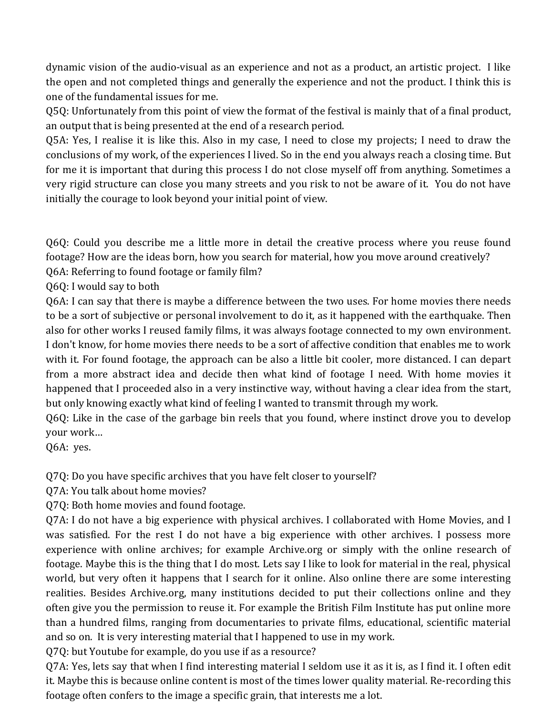dynamic vision of the audio-visual as an experience and not as a product, an artistic project. I like the open and not completed things and generally the experience and not the product. I think this is one of the fundamental issues for me.

Q5Q: Unfortunately from this point of view the format of the festival is mainly that of a final product, an output that is being presented at the end of a research period.

Q5A: Yes, I realise it is like this. Also in my case, I need to close my projects; I need to draw the conclusions of my work, of the experiences I lived. So in the end you always reach a closing time. But for me it is important that during this process I do not close myself off from anything. Sometimes a very rigid structure can close you many streets and you risk to not be aware of it. You do not have initially the courage to look beyond your initial point of view.

Q6Q: Could you describe me a little more in detail the creative process where you reuse found footage? How are the ideas born, how you search for material, how you move around creatively?

Q6A: Referring to found footage or family film?

Q6Q: I would say to both

Q6A: I can say that there is maybe a difference between the two uses. For home movies there needs to be a sort of subjective or personal involvement to do it, as it happened with the earthquake. Then also for other works I reused family films, it was always footage connected to my own environment. I don't know, for home movies there needs to be a sort of affective condition that enables me to work with it. For found footage, the approach can be also a little bit cooler, more distanced. I can depart from a more abstract idea and decide then what kind of footage I need. With home movies it happened that I proceeded also in a very instinctive way, without having a clear idea from the start, but only knowing exactly what kind of feeling I wanted to transmit through my work.

 $Q6Q$ : Like in the case of the garbage bin reels that you found, where instinct drove you to develop your work...

Q6A: yes.

Q7Q: Do you have specific archives that you have felt closer to yourself?

Q7A: You talk about home movies?

Q7Q: Both home movies and found footage.

Q7A: I do not have a big experience with physical archives. I collaborated with Home Movies, and I was satisfied. For the rest I do not have a big experience with other archives. I possess more experience with online archives; for example Archive.org or simply with the online research of footage. Maybe this is the thing that I do most. Lets say I like to look for material in the real, physical world, but very often it happens that I search for it online. Also online there are some interesting realities. Besides Archive.org, many institutions decided to put their collections online and they often give you the permission to reuse it. For example the British Film Institute has put online more than a hundred films, ranging from documentaries to private films, educational, scientific material and so on. It is very interesting material that I happened to use in my work.

Q7Q: but Youtube for example, do you use if as a resource?

Q7A: Yes, lets say that when I find interesting material I seldom use it as it is, as I find it. I often edit it. Maybe this is because online content is most of the times lower quality material. Re-recording this footage often confers to the image a specific grain, that interests me a lot.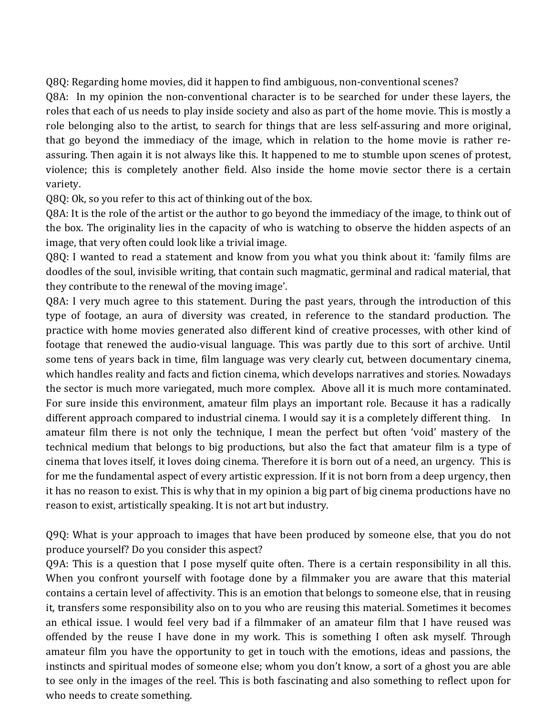Q8Q: Regarding home movies, did it happen to find ambiguous, non-conventional scenes?

Q8A: In my opinion the non-conventional character is to be searched for under these layers, the roles that each of us needs to play inside society and also as part of the home movie. This is mostly a role belonging also to the artist, to search for things that are less self-assuring and more original, that go beyond the immediacy of the image, which in relation to the home movie is rather reassuring. Then again it is not always like this. It happened to me to stumble upon scenes of protest, violence; this is completely another field. Also inside the home movie sector there is a certain variety. 

Q8Q: Ok, so you refer to this act of thinking out of the box.

Q8A: It is the role of the artist or the author to go beyond the immediacy of the image, to think out of the box. The originality lies in the capacity of who is watching to observe the hidden aspects of an image, that very often could look like a trivial image.

Q8Q: I wanted to read a statement and know from you what you think about it: 'family films are doodles of the soul, invisible writing, that contain such magmatic, germinal and radical material, that they contribute to the renewal of the moving image'.

Q8A: I very much agree to this statement. During the past years, through the introduction of this type of footage, an aura of diversity was created, in reference to the standard production. The practice with home movies generated also different kind of creative processes, with other kind of footage that renewed the audio-visual language. This was partly due to this sort of archive. Until some tens of years back in time, film language was very clearly cut, between documentary cinema, which handles reality and facts and fiction cinema, which develops narratives and stories. Nowadays the sector is much more variegated, much more complex. Above all it is much more contaminated. For sure inside this environment, amateur film plays an important role. Because it has a radically different approach compared to industrial cinema. I would say it is a completely different thing. In amateur film there is not only the technique, I mean the perfect but often 'void' mastery of the technical medium that belongs to big productions, but also the fact that amateur film is a type of cinema that loves itself, it loves doing cinema. Therefore it is born out of a need, an urgency. This is for me the fundamental aspect of every artistic expression. If it is not born from a deep urgency, then it has no reason to exist. This is why that in my opinion a big part of big cinema productions have no reason to exist, artistically speaking. It is not art but industry.

Q9Q: What is your approach to images that have been produced by someone else, that you do not produce yourself? Do you consider this aspect?

Q9A: This is a question that I pose myself quite often. There is a certain responsibility in all this. When you confront yourself with footage done by a filmmaker you are aware that this material contains a certain level of affectivity. This is an emotion that belongs to someone else, that in reusing it, transfers some responsibility also on to you who are reusing this material. Sometimes it becomes an ethical issue. I would feel very bad if a filmmaker of an amateur film that I have reused was offended by the reuse I have done in my work. This is something I often ask myself. Through amateur film you have the opportunity to get in touch with the emotions, ideas and passions, the instincts and spiritual modes of someone else; whom you don't know, a sort of a ghost you are able to see only in the images of the reel. This is both fascinating and also something to reflect upon for who needs to create something.